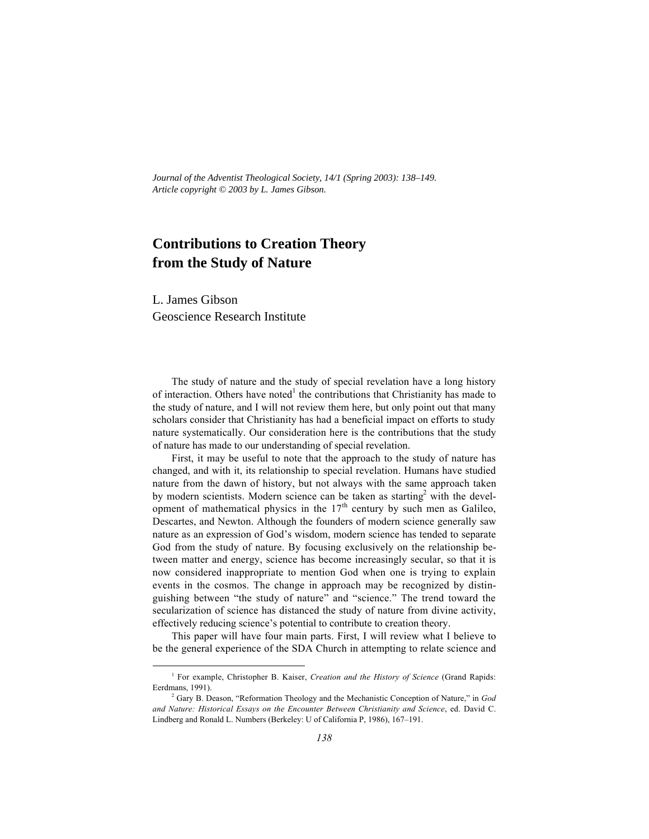*Journal of the Adventist Theological Society, 14/1 (Spring 2003): 138–149. Article copyright © 2003 by L. James Gibson.*

# **Contributions to Creation Theory from the Study of Nature**

L. James Gibson Geoscience Research Institute

The study of nature and the study of special revelation have a long history of interaction. Others have noted  $1$  the contributions that Christianity has made to the study of nature, and I will not review them here, but only point out that many scholars consider that Christianity has had a beneficial impact on efforts to study nature systematically. Our consideration here is the contributions that the study of nature has made to our understanding of special revelation.

First, it may be useful to note that the approach to the study of nature has changed, and with it, its relationship to special revelation. Humans have studied nature from the dawn of history, but not always with the same approach taken by modern scientists. Modern science can be taken as starting with the development of mathematical physics in the  $17<sup>th</sup>$  century by such men as Galileo, Descartes, and Newton. Although the founders of modern science generally saw nature as an expression of God's wisdom, modern science has tended to separate God from the study of nature. By focusing exclusively on the relationship between matter and energy, science has become increasingly secular, so that it is now considered inappropriate to mention God when one is trying to explain events in the cosmos. The change in approach may be recognized by distinguishing between "the study of nature" and "science." The trend toward the secularization of science has distanced the study of nature from divine activity, effectively reducing science's potential to contribute to creation theory.

This paper will have four main parts. First, I will review what I believe to be the general experience of the SDA Church in attempting to relate science and

 $\frac{1}{1}$ <sup>1</sup> For example, Christopher B. Kaiser, *Creation and the History of Science* (Grand Rapids: Eerdmans, 1991).

<sup>2</sup> Gary B. Deason, "Reformation Theology and the Mechanistic Conception of Nature," in *God and Nature: Historical Essays on the Encounter Between Christianity and Science*, ed. David C. Lindberg and Ronald L. Numbers (Berkeley: U of California P, 1986), 167–191.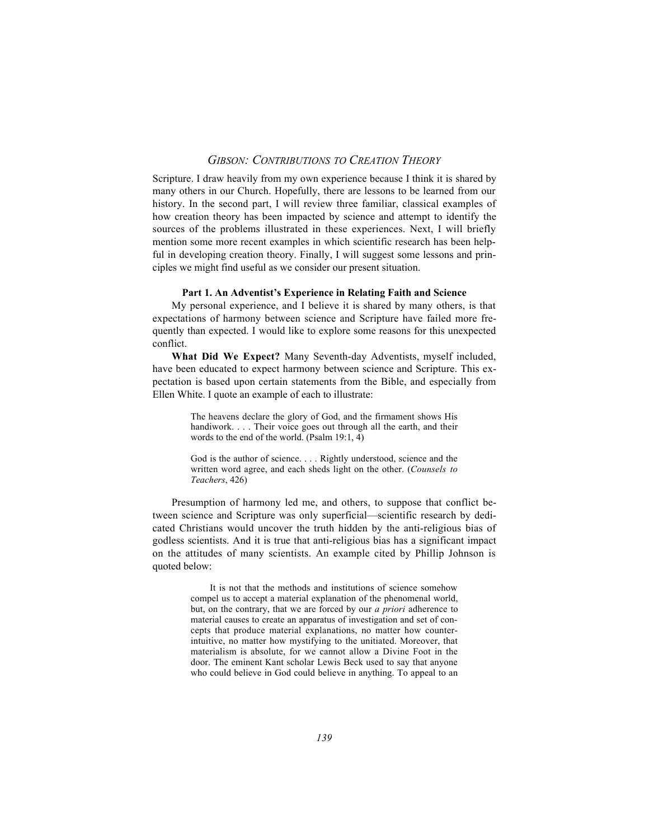Scripture. I draw heavily from my own experience because I think it is shared by many others in our Church. Hopefully, there are lessons to be learned from our history. In the second part, I will review three familiar, classical examples of how creation theory has been impacted by science and attempt to identify the sources of the problems illustrated in these experiences. Next, I will briefly mention some more recent examples in which scientific research has been helpful in developing creation theory. Finally, I will suggest some lessons and principles we might find useful as we consider our present situation.

#### **Part 1. An Adventist's Experience in Relating Faith and Science**

My personal experience, and I believe it is shared by many others, is that expectations of harmony between science and Scripture have failed more frequently than expected. I would like to explore some reasons for this unexpected conflict.

**What Did We Expect?** Many Seventh-day Adventists, myself included, have been educated to expect harmony between science and Scripture. This expectation is based upon certain statements from the Bible, and especially from Ellen White. I quote an example of each to illustrate:

> The heavens declare the glory of God, and the firmament shows His handiwork. . . . Their voice goes out through all the earth, and their words to the end of the world. (Psalm 19:1, 4)

> God is the author of science. . . . Rightly understood, science and the written word agree, and each sheds light on the other. (*Counsels to Teachers*, 426)

Presumption of harmony led me, and others, to suppose that conflict between science and Scripture was only superficial—scientific research by dedicated Christians would uncover the truth hidden by the anti-religious bias of godless scientists. And it is true that anti-religious bias has a significant impact on the attitudes of many scientists. An example cited by Phillip Johnson is quoted below:

> It is not that the methods and institutions of science somehow compel us to accept a material explanation of the phenomenal world, but, on the contrary, that we are forced by our *a priori* adherence to material causes to create an apparatus of investigation and set of concepts that produce material explanations, no matter how counterintuitive, no matter how mystifying to the unitiated. Moreover, that materialism is absolute, for we cannot allow a Divine Foot in the door. The eminent Kant scholar Lewis Beck used to say that anyone who could believe in God could believe in anything. To appeal to an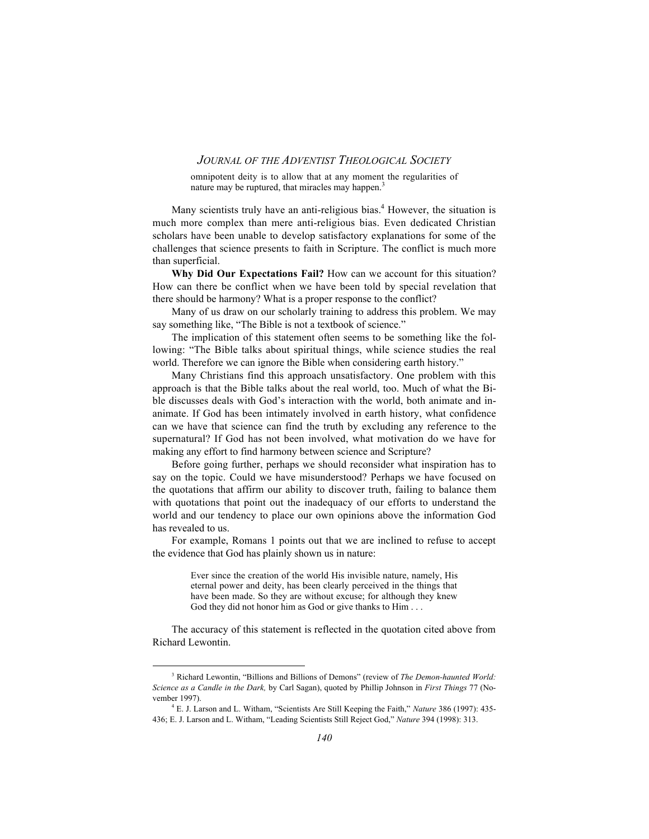omnipotent deity is to allow that at any moment the regularities of nature may be ruptured, that miracles may happen.<sup>3</sup>

Many scientists truly have an anti-religious bias.<sup>4</sup> However, the situation is much more complex than mere anti-religious bias. Even dedicated Christian scholars have been unable to develop satisfactory explanations for some of the challenges that science presents to faith in Scripture. The conflict is much more than superficial.

**Why Did Our Expectations Fail?** How can we account for this situation? How can there be conflict when we have been told by special revelation that there should be harmony? What is a proper response to the conflict?

Many of us draw on our scholarly training to address this problem. We may say something like, "The Bible is not a textbook of science."

The implication of this statement often seems to be something like the following: "The Bible talks about spiritual things, while science studies the real world. Therefore we can ignore the Bible when considering earth history."

Many Christians find this approach unsatisfactory. One problem with this approach is that the Bible talks about the real world, too. Much of what the Bible discusses deals with God's interaction with the world, both animate and inanimate. If God has been intimately involved in earth history, what confidence can we have that science can find the truth by excluding any reference to the supernatural? If God has not been involved, what motivation do we have for making any effort to find harmony between science and Scripture?

Before going further, perhaps we should reconsider what inspiration has to say on the topic. Could we have misunderstood? Perhaps we have focused on the quotations that affirm our ability to discover truth, failing to balance them with quotations that point out the inadequacy of our efforts to understand the world and our tendency to place our own opinions above the information God has revealed to us.

For example, Romans 1 points out that we are inclined to refuse to accept the evidence that God has plainly shown us in nature:

> Ever since the creation of the world His invisible nature, namely, His eternal power and deity, has been clearly perceived in the things that have been made. So they are without excuse; for although they knew God they did not honor him as God or give thanks to Him . . .

The accuracy of this statement is reflected in the quotation cited above from Richard Lewontin.

 $\frac{1}{3}$  Richard Lewontin, "Billions and Billions of Demons" (review of *The Demon-haunted World: Science as a Candle in the Dark,* by Carl Sagan), quoted by Phillip Johnson in *First Things* 77 (November 1997).

<sup>4</sup> E. J. Larson and L. Witham, "Scientists Are Still Keeping the Faith," *Nature* 386 (1997): 435- 436; E. J. Larson and L. Witham, "Leading Scientists Still Reject God," *Nature* 394 (1998): 313.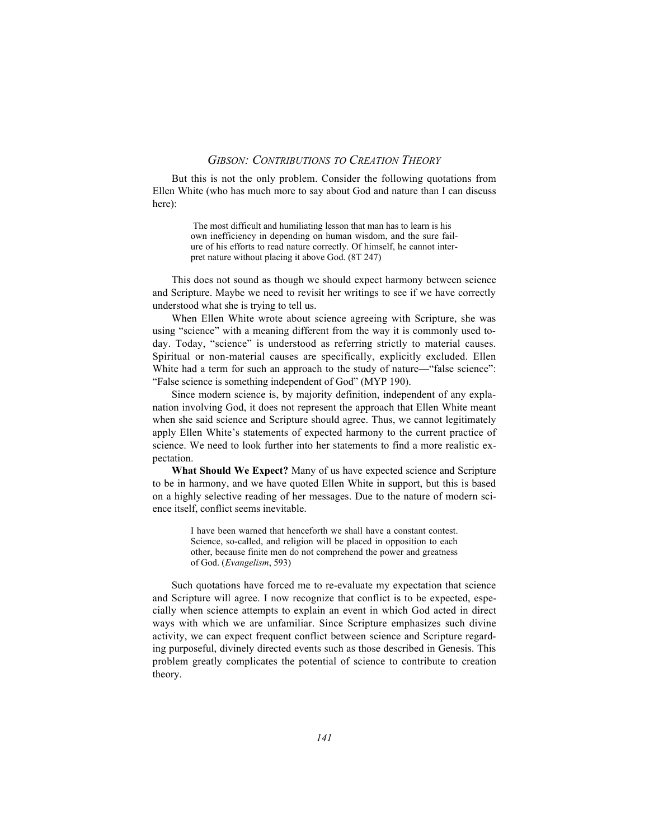But this is not the only problem. Consider the following quotations from Ellen White (who has much more to say about God and nature than I can discuss here):

> The most difficult and humiliating lesson that man has to learn is his own inefficiency in depending on human wisdom, and the sure failure of his efforts to read nature correctly. Of himself, he cannot interpret nature without placing it above God. (8T 247)

This does not sound as though we should expect harmony between science and Scripture. Maybe we need to revisit her writings to see if we have correctly understood what she is trying to tell us.

When Ellen White wrote about science agreeing with Scripture, she was using "science" with a meaning different from the way it is commonly used today. Today, "science" is understood as referring strictly to material causes. Spiritual or non-material causes are specifically, explicitly excluded. Ellen White had a term for such an approach to the study of nature—"false science": "False science is something independent of God" (MYP 190).

Since modern science is, by majority definition, independent of any explanation involving God, it does not represent the approach that Ellen White meant when she said science and Scripture should agree. Thus, we cannot legitimately apply Ellen White's statements of expected harmony to the current practice of science. We need to look further into her statements to find a more realistic expectation.

**What Should We Expect?** Many of us have expected science and Scripture to be in harmony, and we have quoted Ellen White in support, but this is based on a highly selective reading of her messages. Due to the nature of modern science itself, conflict seems inevitable.

> I have been warned that henceforth we shall have a constant contest. Science, so-called, and religion will be placed in opposition to each other, because finite men do not comprehend the power and greatness of God. (*Evangelism*, 593)

Such quotations have forced me to re-evaluate my expectation that science and Scripture will agree. I now recognize that conflict is to be expected, especially when science attempts to explain an event in which God acted in direct ways with which we are unfamiliar. Since Scripture emphasizes such divine activity, we can expect frequent conflict between science and Scripture regarding purposeful, divinely directed events such as those described in Genesis. This problem greatly complicates the potential of science to contribute to creation theory.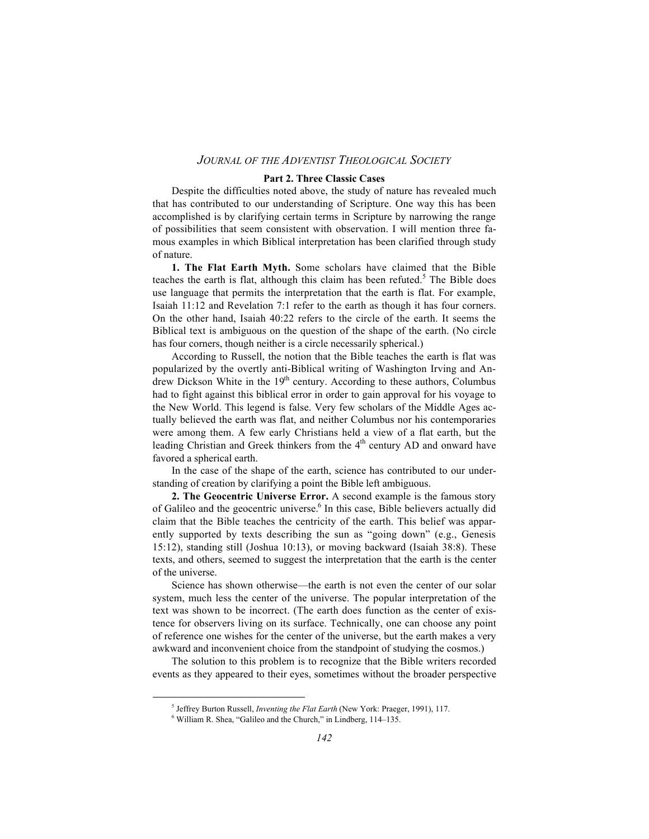#### **Part 2. Three Classic Cases**

Despite the difficulties noted above, the study of nature has revealed much that has contributed to our understanding of Scripture. One way this has been accomplished is by clarifying certain terms in Scripture by narrowing the range of possibilities that seem consistent with observation. I will mention three famous examples in which Biblical interpretation has been clarified through study of nature.

**1. The Flat Earth Myth.** Some scholars have claimed that the Bible teaches the earth is flat, although this claim has been refuted.<sup>5</sup> The Bible does use language that permits the interpretation that the earth is flat. For example, Isaiah 11:12 and Revelation 7:1 refer to the earth as though it has four corners. On the other hand, Isaiah 40:22 refers to the circle of the earth. It seems the Biblical text is ambiguous on the question of the shape of the earth. (No circle has four corners, though neither is a circle necessarily spherical.)

According to Russell, the notion that the Bible teaches the earth is flat was popularized by the overtly anti-Biblical writing of Washington Irving and Andrew Dickson White in the  $19<sup>th</sup>$  century. According to these authors, Columbus had to fight against this biblical error in order to gain approval for his voyage to the New World. This legend is false. Very few scholars of the Middle Ages actually believed the earth was flat, and neither Columbus nor his contemporaries were among them. A few early Christians held a view of a flat earth, but the leading Christian and Greek thinkers from the 4<sup>th</sup> century AD and onward have favored a spherical earth.

In the case of the shape of the earth, science has contributed to our understanding of creation by clarifying a point the Bible left ambiguous.

**2. The Geocentric Universe Error.** A second example is the famous story of Galileo and the geocentric universe.<sup>6</sup> In this case. Bible believers actually did claim that the Bible teaches the centricity of the earth. This belief was apparently supported by texts describing the sun as "going down" (e.g., Genesis 15:12), standing still (Joshua 10:13), or moving backward (Isaiah 38:8). These texts, and others, seemed to suggest the interpretation that the earth is the center of the universe.

Science has shown otherwise—the earth is not even the center of our solar system, much less the center of the universe. The popular interpretation of the text was shown to be incorrect. (The earth does function as the center of existence for observers living on its surface. Technically, one can choose any point of reference one wishes for the center of the universe, but the earth makes a very awkward and inconvenient choice from the standpoint of studying the cosmos.)

The solution to this problem is to recognize that the Bible writers recorded events as they appeared to their eyes, sometimes without the broader perspective

 $rac{1}{5}$ <sup>5</sup> Jeffrey Burton Russell, *Inventing the Flat Earth* (New York: Praeger, 1991), 117.

 $6$  William R. Shea, "Galileo and the Church," in Lindberg,  $114-135$ .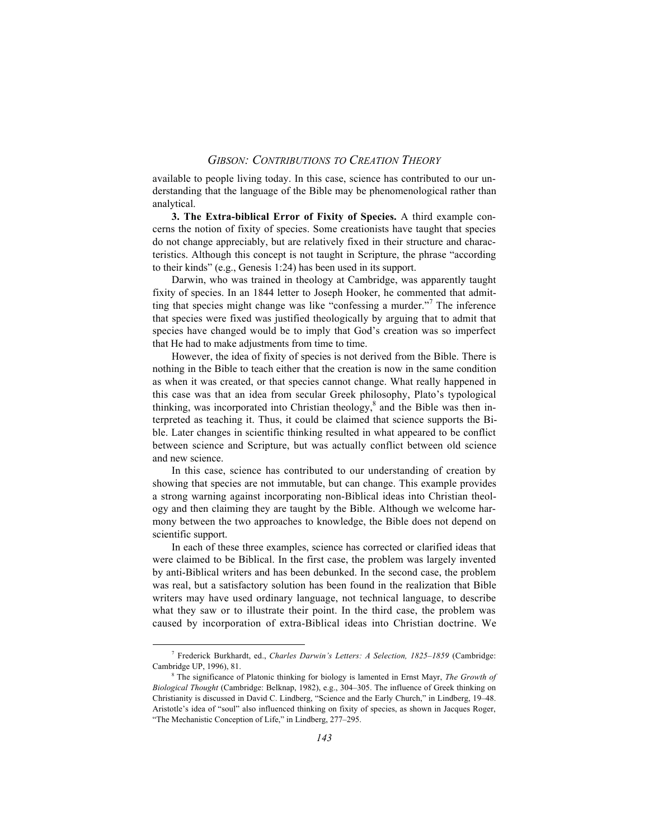available to people living today. In this case, science has contributed to our understanding that the language of the Bible may be phenomenological rather than analytical.

**3. The Extra-biblical Error of Fixity of Species.** A third example concerns the notion of fixity of species. Some creationists have taught that species do not change appreciably, but are relatively fixed in their structure and characteristics. Although this concept is not taught in Scripture, the phrase "according to their kinds" (e.g., Genesis 1:24) has been used in its support.

Darwin, who was trained in theology at Cambridge, was apparently taught fixity of species. In an 1844 letter to Joseph Hooker, he commented that admitting that species might change was like "confessing a murder."<sup>7</sup> The inference that species were fixed was justified theologically by arguing that to admit that species have changed would be to imply that God's creation was so imperfect that He had to make adjustments from time to time.

However, the idea of fixity of species is not derived from the Bible. There is nothing in the Bible to teach either that the creation is now in the same condition as when it was created, or that species cannot change. What really happened in this case was that an idea from secular Greek philosophy, Plato's typological thinking, was incorporated into Christian theology.<sup>8</sup> and the Bible was then interpreted as teaching it. Thus, it could be claimed that science supports the Bible. Later changes in scientific thinking resulted in what appeared to be conflict between science and Scripture, but was actually conflict between old science and new science.

In this case, science has contributed to our understanding of creation by showing that species are not immutable, but can change. This example provides a strong warning against incorporating non-Biblical ideas into Christian theology and then claiming they are taught by the Bible. Although we welcome harmony between the two approaches to knowledge, the Bible does not depend on scientific support.

In each of these three examples, science has corrected or clarified ideas that were claimed to be Biblical. In the first case, the problem was largely invented by anti-Biblical writers and has been debunked. In the second case, the problem was real, but a satisfactory solution has been found in the realization that Bible writers may have used ordinary language, not technical language, to describe what they saw or to illustrate their point. In the third case, the problem was caused by incorporation of extra-Biblical ideas into Christian doctrine. We

 $\frac{1}{7}$  Frederick Burkhardt, ed., *Charles Darwin's Letters: A Selection, 1825–1859* (Cambridge: Cambridge UP, 1996), 81.

<sup>8</sup> The significance of Platonic thinking for biology is lamented in Ernst Mayr, *The Growth of Biological Thought* (Cambridge: Belknap, 1982), e.g., 304–305. The influence of Greek thinking on Christianity is discussed in David C. Lindberg, "Science and the Early Church," in Lindberg, 19–48. Aristotle's idea of "soul" also influenced thinking on fixity of species, as shown in Jacques Roger, "The Mechanistic Conception of Life," in Lindberg, 277–295.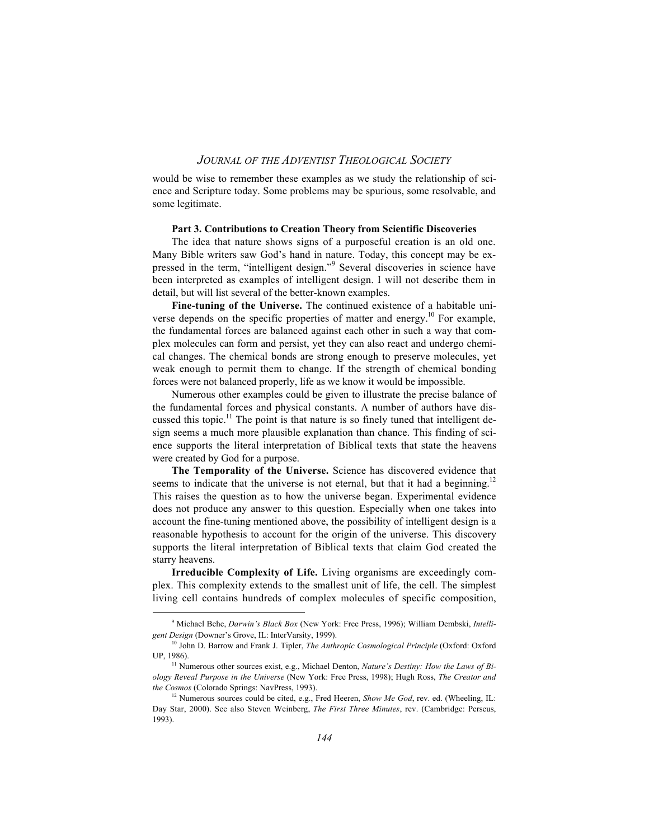would be wise to remember these examples as we study the relationship of science and Scripture today. Some problems may be spurious, some resolvable, and some legitimate.

#### **Part 3. Contributions to Creation Theory from Scientific Discoveries**

The idea that nature shows signs of a purposeful creation is an old one. Many Bible writers saw God's hand in nature. Today, this concept may be expressed in the term, "intelligent design."<sup>9</sup> Several discoveries in science have been interpreted as examples of intelligent design. I will not describe them in detail, but will list several of the better-known examples.

**Fine-tuning of the Universe.** The continued existence of a habitable universe depends on the specific properties of matter and energy.<sup>10</sup> For example, the fundamental forces are balanced against each other in such a way that complex molecules can form and persist, yet they can also react and undergo chemical changes. The chemical bonds are strong enough to preserve molecules, yet weak enough to permit them to change. If the strength of chemical bonding forces were not balanced properly, life as we know it would be impossible.

Numerous other examples could be given to illustrate the precise balance of the fundamental forces and physical constants. A number of authors have discussed this topic.<sup>11</sup> The point is that nature is so finely tuned that intelligent design seems a much more plausible explanation than chance. This finding of science supports the literal interpretation of Biblical texts that state the heavens were created by God for a purpose.

**The Temporality of the Universe.** Science has discovered evidence that seems to indicate that the universe is not eternal, but that it had a beginning.<sup>12</sup> This raises the question as to how the universe began. Experimental evidence does not produce any answer to this question. Especially when one takes into account the fine-tuning mentioned above, the possibility of intelligent design is a reasonable hypothesis to account for the origin of the universe. This discovery supports the literal interpretation of Biblical texts that claim God created the starry heavens.

**Irreducible Complexity of Life.** Living organisms are exceedingly complex. This complexity extends to the smallest unit of life, the cell. The simplest living cell contains hundreds of complex molecules of specific composition,

 $\frac{1}{9}$ <sup>9</sup> Michael Behe, *Darwin's Black Box* (New York: Free Press, 1996); William Dembski, *Intelligent Design* (Downer's Grove, IL: InterVarsity, 1999).

<sup>10</sup> John D. Barrow and Frank J. Tipler, *The Anthropic Cosmological Principle* (Oxford: Oxford UP, 1986).

<sup>&</sup>lt;sup>11</sup> Numerous other sources exist, e.g., Michael Denton, *Nature's Destiny: How the Laws of Biology Reveal Purpose in the Universe* (New York: Free Press, 1998); Hugh Ross, *The Creator and the Cosmos* (Colorado Springs: NavPress, 1993).

<sup>&</sup>lt;sup>12</sup> Numerous sources could be cited, e.g., Fred Heeren, *Show Me God*, rev. ed. (Wheeling, IL: Day Star, 2000). See also Steven Weinberg, *The First Three Minutes*, rev. (Cambridge: Perseus, 1993).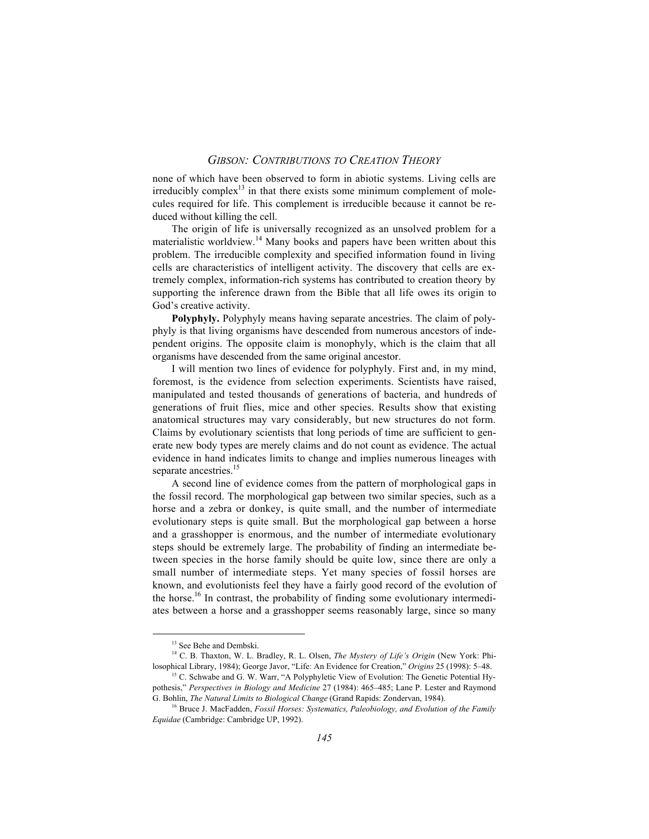none of which have been observed to form in abiotic systems. Living cells are irreducibly complex $^{13}$  in that there exists some minimum complement of molecules required for life. This complement is irreducible because it cannot be reduced without killing the cell.

The origin of life is universally recognized as an unsolved problem for a materialistic worldview.<sup>14</sup> Many books and papers have been written about this problem. The irreducible complexity and specified information found in living cells are characteristics of intelligent activity. The discovery that cells are extremely complex, information-rich systems has contributed to creation theory by supporting the inference drawn from the Bible that all life owes its origin to God's creative activity.

**Polyphyly.** Polyphyly means having separate ancestries. The claim of polyphyly is that living organisms have descended from numerous ancestors of independent origins. The opposite claim is monophyly, which is the claim that all organisms have descended from the same original ancestor.

I will mention two lines of evidence for polyphyly. First and, in my mind, foremost, is the evidence from selection experiments. Scientists have raised, manipulated and tested thousands of generations of bacteria, and hundreds of generations of fruit flies, mice and other species. Results show that existing anatomical structures may vary considerably, but new structures do not form. Claims by evolutionary scientists that long periods of time are sufficient to generate new body types are merely claims and do not count as evidence. The actual evidence in hand indicates limits to change and implies numerous lineages with separate ancestries.<sup>15</sup>

A second line of evidence comes from the pattern of morphological gaps in the fossil record. The morphological gap between two similar species, such as a horse and a zebra or donkey, is quite small, and the number of intermediate evolutionary steps is quite small. But the morphological gap between a horse and a grasshopper is enormous, and the number of intermediate evolutionary steps should be extremely large. The probability of finding an intermediate between species in the horse family should be quite low, since there are only a small number of intermediate steps. Yet many species of fossil horses are known, and evolutionists feel they have a fairly good record of the evolution of the horse.<sup>16</sup> In contrast, the probability of finding some evolutionary intermediates between a horse and a grasshopper seems reasonably large, since so many

<sup>&</sup>lt;sup>13</sup> See Behe and Dembski.

<sup>14</sup> C. B. Thaxton, W. L. Bradley, R. L. Olsen, *The Mystery of Life's Origin* (New York: Philosophical Library, 1984); George Javor, "Life: An Evidence for Creation," *Origins* 25 (1998): 5–48.

<sup>&</sup>lt;sup>15</sup> C. Schwabe and G. W. Warr, "A Polyphyletic View of Evolution: The Genetic Potential Hypothesis," *Perspectives in Biology and Medicine* 27 (1984): 465–485; Lane P. Lester and Raymond G. Bohlin, *The Natural Limits to Biological Change* (Grand Rapids: Zondervan, 1984).

<sup>16</sup> Bruce J. MacFadden, *Fossil Horses: Systematics, Paleobiology, and Evolution of the Family Equidae* (Cambridge: Cambridge UP, 1992).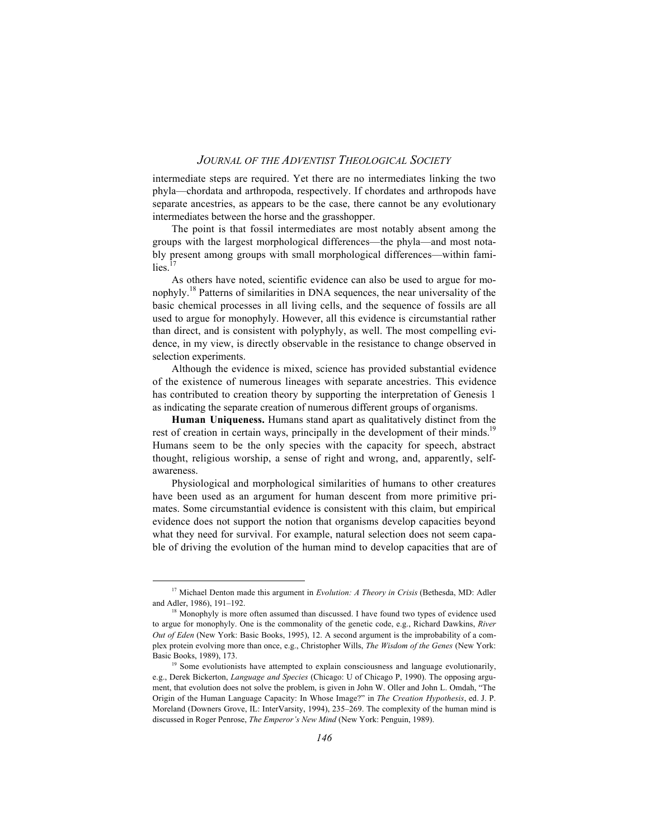intermediate steps are required. Yet there are no intermediates linking the two phyla—chordata and arthropoda, respectively. If chordates and arthropods have separate ancestries, as appears to be the case, there cannot be any evolutionary intermediates between the horse and the grasshopper.

The point is that fossil intermediates are most notably absent among the groups with the largest morphological differences—the phyla—and most notably present among groups with small morphological differences—within families $17$ 

As others have noted, scientific evidence can also be used to argue for monophyly.18 Patterns of similarities in DNA sequences, the near universality of the basic chemical processes in all living cells, and the sequence of fossils are all used to argue for monophyly. However, all this evidence is circumstantial rather than direct, and is consistent with polyphyly, as well. The most compelling evidence, in my view, is directly observable in the resistance to change observed in selection experiments.

Although the evidence is mixed, science has provided substantial evidence of the existence of numerous lineages with separate ancestries. This evidence has contributed to creation theory by supporting the interpretation of Genesis 1 as indicating the separate creation of numerous different groups of organisms.

**Human Uniqueness.** Humans stand apart as qualitatively distinct from the rest of creation in certain ways, principally in the development of their minds.<sup>19</sup> Humans seem to be the only species with the capacity for speech, abstract thought, religious worship, a sense of right and wrong, and, apparently, selfawareness.

Physiological and morphological similarities of humans to other creatures have been used as an argument for human descent from more primitive primates. Some circumstantial evidence is consistent with this claim, but empirical evidence does not support the notion that organisms develop capacities beyond what they need for survival. For example, natural selection does not seem capable of driving the evolution of the human mind to develop capacities that are of

<sup>&</sup>lt;sup>17</sup> Michael Denton made this argument in *Evolution: A Theory in Crisis* (Bethesda, MD: Adler and Adler, 1986), 191–192.

 $18$  Monophyly is more often assumed than discussed. I have found two types of evidence used to argue for monophyly. One is the commonality of the genetic code, e.g., Richard Dawkins, *River Out of Eden* (New York: Basic Books, 1995), 12. A second argument is the improbability of a complex protein evolving more than once, e.g., Christopher Wills, *The Wisdom of the Genes* (New York: Basic Books, 1989), 173.

<sup>&</sup>lt;sup>19</sup> Some evolutionists have attempted to explain consciousness and language evolutionarily, e.g., Derek Bickerton, *Language and Species* (Chicago: U of Chicago P, 1990). The opposing argument, that evolution does not solve the problem, is given in John W. Oller and John L. Omdah, "The Origin of the Human Language Capacity: In Whose Image?" in *The Creation Hypothesis*, ed. J. P. Moreland (Downers Grove, IL: InterVarsity, 1994), 235–269. The complexity of the human mind is discussed in Roger Penrose, *The Emperor's New Mind* (New York: Penguin, 1989).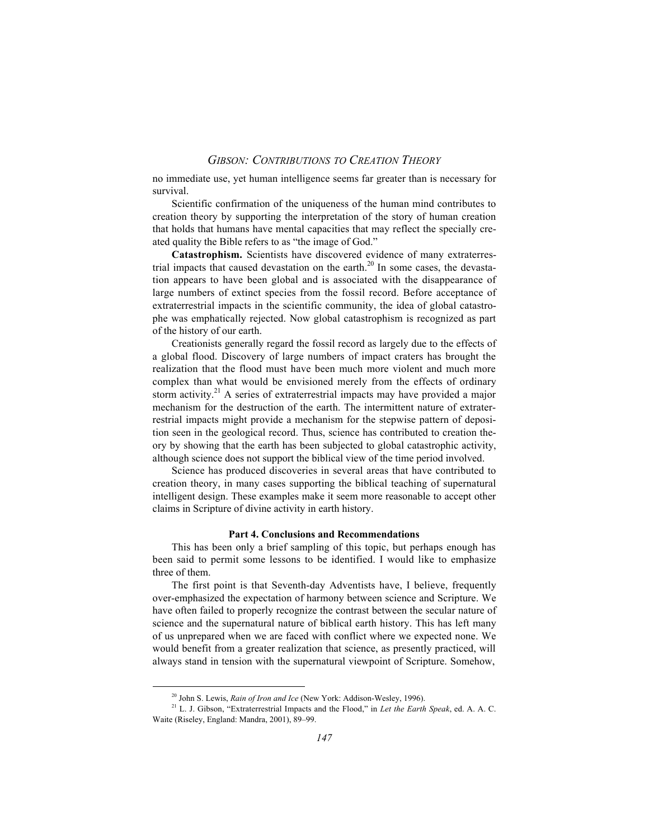no immediate use, yet human intelligence seems far greater than is necessary for survival.

Scientific confirmation of the uniqueness of the human mind contributes to creation theory by supporting the interpretation of the story of human creation that holds that humans have mental capacities that may reflect the specially created quality the Bible refers to as "the image of God."

**Catastrophism.** Scientists have discovered evidence of many extraterrestrial impacts that caused devastation on the earth.<sup>20</sup> In some cases, the devastation appears to have been global and is associated with the disappearance of large numbers of extinct species from the fossil record. Before acceptance of extraterrestrial impacts in the scientific community, the idea of global catastrophe was emphatically rejected. Now global catastrophism is recognized as part of the history of our earth.

Creationists generally regard the fossil record as largely due to the effects of a global flood. Discovery of large numbers of impact craters has brought the realization that the flood must have been much more violent and much more complex than what would be envisioned merely from the effects of ordinary storm activity.21 A series of extraterrestrial impacts may have provided a major mechanism for the destruction of the earth. The intermittent nature of extraterrestrial impacts might provide a mechanism for the stepwise pattern of deposition seen in the geological record. Thus, science has contributed to creation theory by showing that the earth has been subjected to global catastrophic activity, although science does not support the biblical view of the time period involved.

Science has produced discoveries in several areas that have contributed to creation theory, in many cases supporting the biblical teaching of supernatural intelligent design. These examples make it seem more reasonable to accept other claims in Scripture of divine activity in earth history.

#### **Part 4. Conclusions and Recommendations**

This has been only a brief sampling of this topic, but perhaps enough has been said to permit some lessons to be identified. I would like to emphasize three of them.

The first point is that Seventh-day Adventists have, I believe, frequently over-emphasized the expectation of harmony between science and Scripture. We have often failed to properly recognize the contrast between the secular nature of science and the supernatural nature of biblical earth history. This has left many of us unprepared when we are faced with conflict where we expected none. We would benefit from a greater realization that science, as presently practiced, will always stand in tension with the supernatural viewpoint of Scripture. Somehow,

20 John S. Lewis, *Rain of Iron and Ice* (New York: Addison-Wesley, 1996).

<sup>21</sup> L. J. Gibson, "Extraterrestrial Impacts and the Flood," in *Let the Earth Speak*, ed. A. A. C. Waite (Riseley, England: Mandra, 2001), 89–99.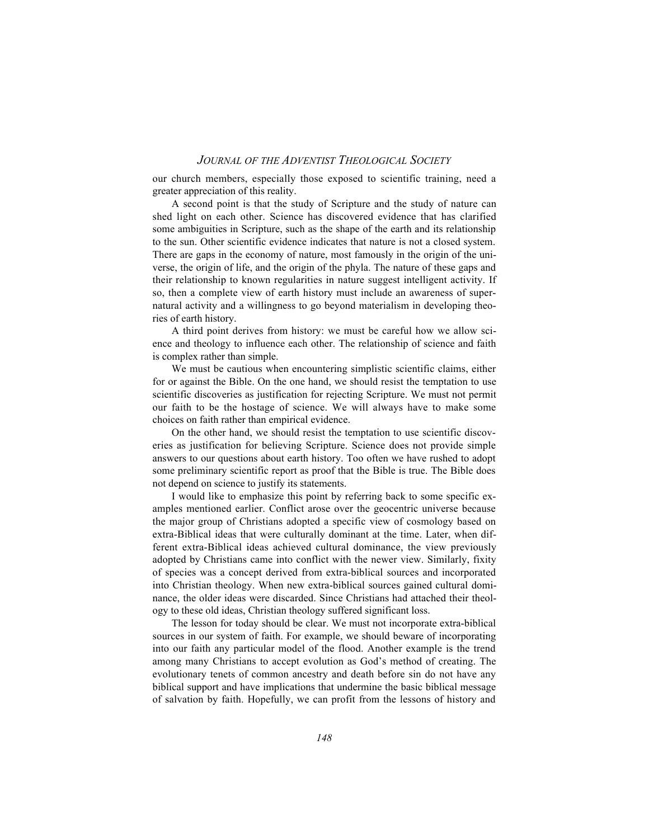our church members, especially those exposed to scientific training, need a greater appreciation of this reality.

A second point is that the study of Scripture and the study of nature can shed light on each other. Science has discovered evidence that has clarified some ambiguities in Scripture, such as the shape of the earth and its relationship to the sun. Other scientific evidence indicates that nature is not a closed system. There are gaps in the economy of nature, most famously in the origin of the universe, the origin of life, and the origin of the phyla. The nature of these gaps and their relationship to known regularities in nature suggest intelligent activity. If so, then a complete view of earth history must include an awareness of supernatural activity and a willingness to go beyond materialism in developing theories of earth history.

A third point derives from history: we must be careful how we allow science and theology to influence each other. The relationship of science and faith is complex rather than simple.

We must be cautious when encountering simplistic scientific claims, either for or against the Bible. On the one hand, we should resist the temptation to use scientific discoveries as justification for rejecting Scripture. We must not permit our faith to be the hostage of science. We will always have to make some choices on faith rather than empirical evidence.

On the other hand, we should resist the temptation to use scientific discoveries as justification for believing Scripture. Science does not provide simple answers to our questions about earth history. Too often we have rushed to adopt some preliminary scientific report as proof that the Bible is true. The Bible does not depend on science to justify its statements.

I would like to emphasize this point by referring back to some specific examples mentioned earlier. Conflict arose over the geocentric universe because the major group of Christians adopted a specific view of cosmology based on extra-Biblical ideas that were culturally dominant at the time. Later, when different extra-Biblical ideas achieved cultural dominance, the view previously adopted by Christians came into conflict with the newer view. Similarly, fixity of species was a concept derived from extra-biblical sources and incorporated into Christian theology. When new extra-biblical sources gained cultural dominance, the older ideas were discarded. Since Christians had attached their theology to these old ideas, Christian theology suffered significant loss.

The lesson for today should be clear. We must not incorporate extra-biblical sources in our system of faith. For example, we should beware of incorporating into our faith any particular model of the flood. Another example is the trend among many Christians to accept evolution as God's method of creating. The evolutionary tenets of common ancestry and death before sin do not have any biblical support and have implications that undermine the basic biblical message of salvation by faith. Hopefully, we can profit from the lessons of history and